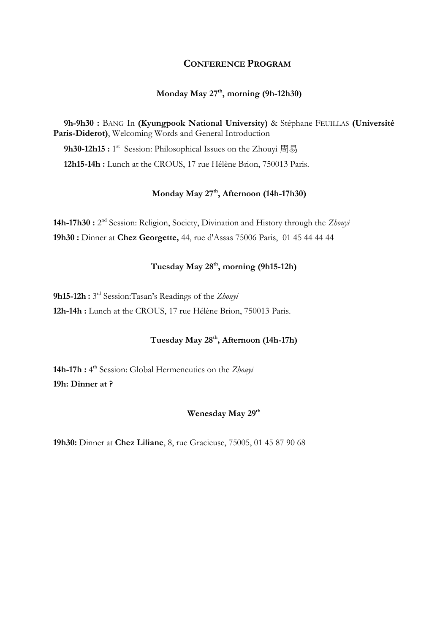# **CONFERENCE PROGRAM**

# **Monday May 27th, morning (9h-12h30)**

**9h-9h30 :** BANG In **(Kyungpook National University)** & Stéphane FEUILLAS **(Université Paris-Diderot)**, Welcoming Words and General Introduction

9h30-12h15 : 1<sup>st</sup> Session: Philosophical Issues on the Zhouyi 周易

**12h15-14h :** Lunch at the CROUS, 17 rue Hélène Brion, 750013 Paris.

# **Monday May 27th , Afternoon (14h-17h30)**

14h-17h30 : 2<sup>nd</sup> Session: Religion, Society, Divination and History through the Zhouyi **19h30 :** Dinner at **Chez Georgette,** [44, rue d'Assas 75006 Paris,](https://www.google.com/maps/dir/?api=1&destination=Restaurant+Georgette+44%2C+rue+d%27Assas++75006+Paris+fr) [01 45 44 44 44](tel:0145444444)

# **Tuesday May 28th, morning (9h15-12h)**

**9h15-12h :** 3 rd Session:Tasan's Readings of the *Zhouyi* **12h-14h :** Lunch at the CROUS, 17 rue Hélène Brion, 750013 Paris.

# **Tuesday May 28th , Afternoon (14h-17h)**

**14h-17h :** 4 th Session: Global Hermeneutics on the *Zhouyi* **19h: Dinner at ?** 

# **Wenesday May 29th**

**19h30:** Dinner at **Chez Liliane**, 8, rue Gracieuse, 75005, 01 45 87 90 68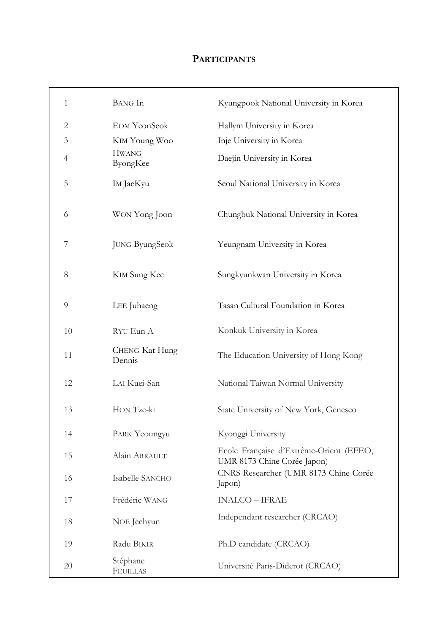# **PARTICIPANTS**

| 1              | <b>BANG</b> In                  | Kyungpook National University in Korea                                 |
|----------------|---------------------------------|------------------------------------------------------------------------|
| 2              | <b>EOM YeonSeok</b>             | Hallym University in Korea                                             |
| 3              | KIM Young Woo                   | Inje University in Korea                                               |
| $\overline{4}$ | <b>HWANG</b><br>ByongKee        | Daejin University in Korea                                             |
| 5              | IM JaeKyu                       | Seoul National University in Korea                                     |
| 6              | WON Yong Joon                   | Chungbuk National University in Korea                                  |
| 7              | <b>JUNG ByungSeok</b>           | Yeungnam University in Korea                                           |
| 8              | <b>KIM Sung Kee</b>             | Sungkyunkwan University in Korea                                       |
| 9              | LEE Juhaeng                     | Tasan Cultural Foundation in Korea                                     |
| 10             | RYU Eun A                       | Konkuk University in Korea                                             |
| 11             | <b>CHENG Kat Hung</b><br>Dennis | The Education University of Hong Kong                                  |
| 12             | LAI Kuei-San                    | National Taiwan Normal University                                      |
| 13             | HON Tze-ki                      | State University of New York, Geneseo                                  |
| 14             | PARK Yeoungyu                   | Kyonggi University                                                     |
| 15             | Alain ARRAULT                   | Ecole Française d'Extrême-Orient (EFEO,<br>UMR 8173 Chine Corée Japon) |
| 16             | Isabelle SANCHO                 | CNRS Researcher (UMR 8173 Chine Corée<br>Japon)                        |
| 17             | Frédéric WANG                   | <b>INALCO - IFRAE</b>                                                  |
| 18             | NOE Jeehyun                     | Independant researcher (CRCAO)                                         |
| 19             | Radu BIKIR                      | Ph.D candidate (CRCAO)                                                 |
| 20             | Stéphane<br><b>FEUILLAS</b>     | Université Paris-Diderot (CRCAO)                                       |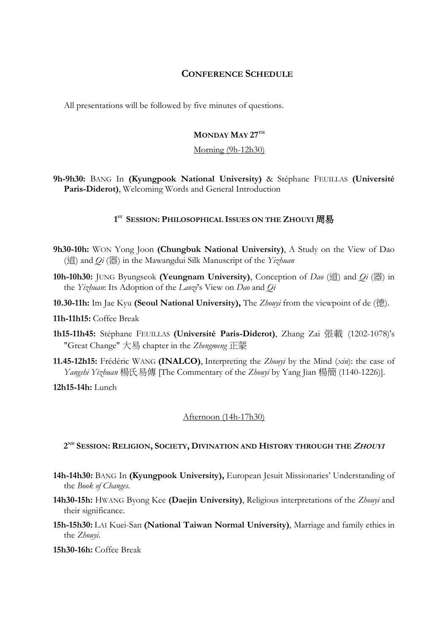## **CONFERENCE SCHEDULE**

All presentations will be followed by five minutes of questions.

## **MONDAY MAY 27TH**

#### Morning (9h-12h30)

**9h-9h30:** BANG In **(Kyungpook National University)** & Stéphane FEUILLAS **(Université Paris-Diderot)**, Welcoming Words and General Introduction

#### **1 ST SESSION: PHILOSOPHICAL ISSUES ON THE ZHOUYI** 周易

- **9h30-10h:** WON Yong Joon **(Chungbuk National University)**, A Study on the View of Dao (道) and *Qi* (器) in the Mawangdui Silk Manuscript of the *Yizhuan*
- **10h-10h30:** JUNG Byungseok **(Yeungnam University)**, Conception of *Dao* (道) and *Qi* (器) in the *Yizhuan*: Its Adoption of the *Laozi*'s View on *Dao* and *Qi*
- **10.30-11h:** Im Jae Kyu **(Seoul National University),** The *Zhouyi* from the viewpoint of de (德).

#### **11h-11h15:** Coffee Break

- **1h15-11h45:** Stéphane FEUILLAS **(Université Paris-Diderot)**, Zhang Zai 張載 (1202-1078)'s "Great Change" 大易 chapter in the *Zhengmeng* 正蒙
- **11.45-12h15:** Frédéric WANG **(INALCO)**, Interpreting the *Zhouyi* by the Mind (*xin*): the case of *Yangshi Yizhuan* 楊氏易傳 [The Commentary of the *Zhouyi* by Yang Jian 楊簡 (1140-1226)].

**12h15-14h:** Lunch

## Afternoon (14h-17h30)

#### **2 ND SESSION: RELIGION, SOCIETY, DIVINATION AND HISTORY THROUGH THE ZHOUYI**

- **14h-14h30:** BANG In **(Kyungpook University),** European Jesuit Missionaries' Understanding of the *Book of Changes*.
- **14h30-15h:** HWANG Byong Kee **(Daejin University)**, Religious interpretations of the *Zhouyi* and their significance.
- **15h-15h30:** LAI Kuei-San **(National Taiwan Normal University)**, Marriage and family ethics in the *Zhouyi*.

**15h30-16h:** Coffee Break